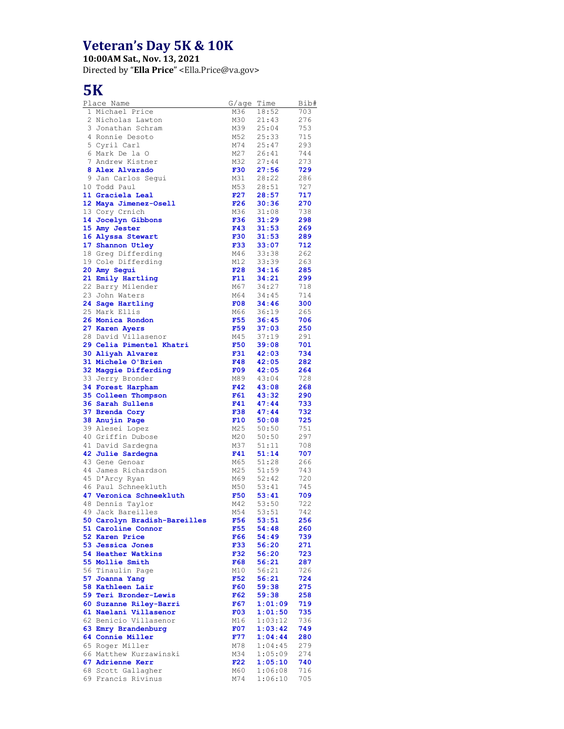## **Veteran's Day 5K & 10K**

**10:00AM Sat., Nov. 13, 2021**

Directed by "**Ella Price**" <Ella.Price@va.gov>

## **5K**

| Place Name                                      | G/aqe Time |                  | Bib#       |
|-------------------------------------------------|------------|------------------|------------|
| 1 Michael Price                                 | M36        | 18:52            | 703        |
| 2 Nicholas Lawton                               | M30        | 21:43            | 276        |
| 3 Jonathan Schram                               | M39        | 25:04            | 753        |
| 4 Ronnie Desoto                                 | M52        | 25:33            | 715        |
| 5 Cyril Carl                                    | M74        | 25:47            | 293        |
| 6 Mark De la O<br>7 Andrew Kistner              | M27<br>M32 | 26:41<br>27:44   | 744<br>273 |
| 8 Alex Alvarado                                 | <b>F30</b> | 27:56            | 729        |
| 9 Jan Carlos Segui                              | M31        | 28:22            | 286        |
| 10 Todd Paul                                    | M53        | 28:51            | 727        |
| 11 Graciela Leal                                | F27        | 28:57            | 717        |
| 12 Maya Jimenez-Osell                           | F26        | 30:36            | 270        |
| 13 Cory Crnich                                  | M36        | 31:08            | 738        |
| 14 Jocelyn Gibbons                              | F36        | 31:29            | 298        |
| 15 Amy Jester                                   | F43        | 31:53            | 269        |
| 16 Alyssa Stewart                               | <b>F30</b> | 31:53            | 289        |
| 17 Shannon Utley                                | <b>F33</b> | 33:07            | 712        |
| 18 Greg Differding                              | M46        | 33:38            | 262        |
| 19 Cole Differding                              | M12        | 33:39            | 263        |
| 20 Amy Segui                                    | F28        | 34:16            | 285        |
| 21 Emily Hartling                               | F11        | 34:21            | 299        |
| 22 Barry Milender                               | M67        | 34:27            | 718        |
| 23 John Waters                                  | M64        | 34:45            | 714        |
| 24 Sage Hartling                                | F08        | 34:46            | 300        |
| 25 Mark Ellis                                   | M66        | 36:19            | 265        |
| 26 Monica Rondon                                | F55        | 36:45            | 706        |
| 27 Karen Ayers                                  | F59        | 37:03            | 250        |
| 28 David Villasenor                             | M45        | 37:19            | 291        |
| 29 Celia Pimentel Khatri                        | <b>F50</b> | 39:08            | 701        |
| 30 Aliyah Alvarez                               | <b>F31</b> | 42:03            | 734        |
| 31 Michele O'Brien                              | <b>F48</b> | 42:05            | 282        |
| 32 Maggie Differding                            | F09        | 42:05            | 264        |
| 33 Jerry Bronder                                | M89<br>F42 | 43:04            | 728<br>268 |
| 34 Forest Harpham<br>35 Colleen Thompson        | F61        | 43:08<br>43:32   | 290        |
| 36 Sarah Sullens                                | F41        | 47:44            | 733        |
| 37 Brenda Cory                                  | <b>F38</b> | 47:44            | 732        |
| 38 Anujin Page                                  | F10        | 50:08            | 725        |
| 39 Alesei Lopez                                 | M25        | 50:50            | 751        |
| 40 Griffin Dubose                               | M20        | 50:50            | 297        |
| 41 David Sardegna                               | M37        | 51:11            | 708        |
| 42 Julie Sardegna                               | F41        | 51:14            | 707        |
| 43 Gene Genoar                                  | M65        | 51:28            | 266        |
| 44 James Richardson                             | M25        | 51:59            | 743        |
| 45 D'Arcy Ryan                                  | M69        | 52:42            | 720        |
| 46 Paul Schneekluth                             | M50        | 53:41            | 745        |
| 47 Veronica Schneekluth                         | <b>F50</b> | 53:41            | 709        |
| 48 Dennis Taylor                                | M42        | 53:50            | 722        |
| 49 Jack Bareilles                               | M54        | 53:51            | 742        |
| 50 Carolyn Bradish-Bareilles                    | F56        | 53:51            | 256        |
| 51 Caroline Connor                              | F55        | 54:48            | 260        |
| 52 Karen Price                                  | F66        | 54:49            | 739        |
| 53 Jessica Jones                                | F33        | 56:20            | 271        |
| 54 Heather Watkins                              | F32        | 56:20            | 723        |
| 55 Mollie Smith                                 | F68        | 56:21            | 287        |
| 56 Tinaulin Page                                | M10        | 56:21            | 726        |
| 57 Joanna Yang<br>58 Kathleen Lair              | F52        | 56:21            | 724        |
|                                                 | <b>F60</b> | 59:38            | 275        |
| 59 Teri Bronder-Lewis<br>60 Suzanne Riley-Barri | F62<br>F67 | 59:38<br>1:01:09 | 258<br>719 |
| 61 Naelani Villasenor                           | F03        | 1:01:50          | 735        |
| 62 Benicio Villasenor                           | M16        | 1:03:12          | 736        |
| 63 Emry Brandenburg                             | F07        | 1:03:42          | 749        |
| 64 Connie Miller                                | F77        | 1:04:44          | 280        |
| 65 Roger Miller                                 | M78        | 1:04:45          | 279        |
| 66 Matthew Kurzawinski                          | M34        | 1:05:09          | 274        |
| 67 Adrienne Kerr                                | F22        | 1:05:10          | 740        |
| 68 Scott Gallagher                              | M60        | 1:06:08          | 716        |
| 69 Francis Rivinus                              | M74        | 1:06:10          | 705        |